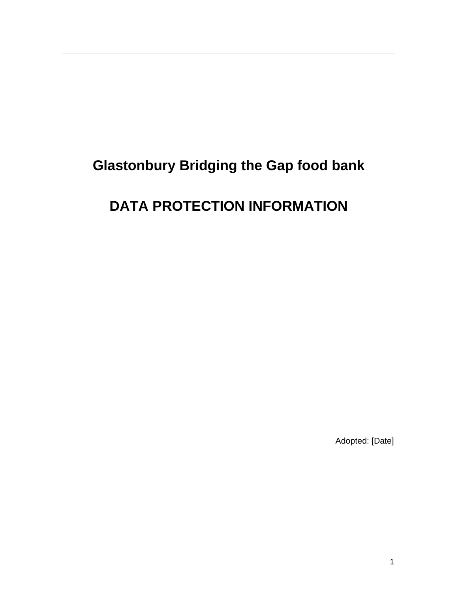# **Glastonbury Bridging the Gap food bank**

# **DATA PROTECTION INFORMATION**

Adopted: [Date]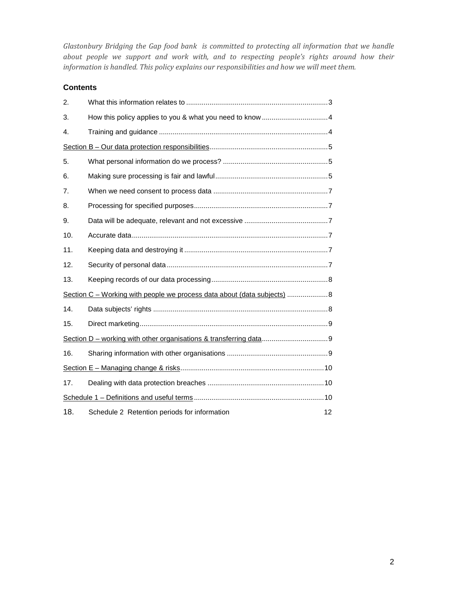*Glastonbury Bridging the Gap food bank is committed to protecting all information that we handle about people we support and work with, and to respecting people's rights around how their information is handled. This policy explains our responsibilities and how we will meet them.* 

# **Contents**

| 2.                                                                       |                                                    |  |
|--------------------------------------------------------------------------|----------------------------------------------------|--|
| 3.                                                                       |                                                    |  |
| 4.                                                                       |                                                    |  |
|                                                                          |                                                    |  |
| 5.                                                                       |                                                    |  |
| 6.                                                                       |                                                    |  |
| 7.                                                                       |                                                    |  |
| 8.                                                                       |                                                    |  |
| 9.                                                                       |                                                    |  |
| 10.                                                                      |                                                    |  |
| 11.                                                                      |                                                    |  |
| 12.                                                                      |                                                    |  |
| 13.                                                                      |                                                    |  |
| Section C – Working with people we process data about (data subjects)  8 |                                                    |  |
| 14.                                                                      |                                                    |  |
| 15.                                                                      |                                                    |  |
|                                                                          |                                                    |  |
| 16.                                                                      |                                                    |  |
|                                                                          |                                                    |  |
| 17.                                                                      |                                                    |  |
|                                                                          |                                                    |  |
| 18.                                                                      | Schedule 2 Retention periods for information<br>12 |  |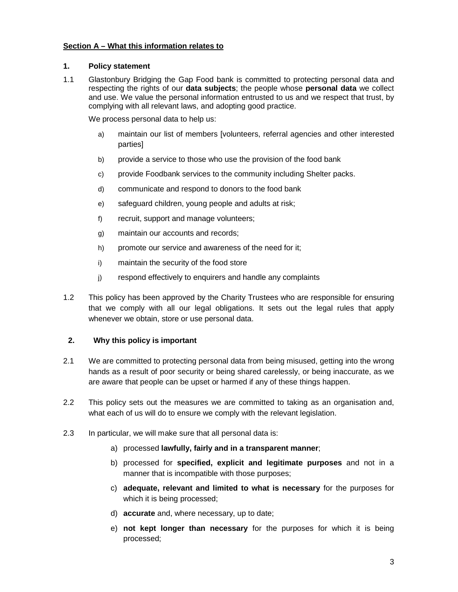#### **Section A – What this information relates to**

#### **1. Policy statement**

1.1 Glastonbury Bridging the Gap Food bank is committed to protecting personal data and respecting the rights of our **data subjects**; the people whose **personal data** we collect and use. We value the personal information entrusted to us and we respect that trust, by complying with all relevant laws, and adopting good practice.

We process personal data to help us:

- a) maintain our list of members [volunteers, referral agencies and other interested parties]
- b) provide a service to those who use the provision of the food bank
- c) provide Foodbank services to the community including Shelter packs.
- d) communicate and respond to donors to the food bank
- e) safeguard children, young people and adults at risk;
- f) recruit, support and manage volunteers;
- g) maintain our accounts and records;
- h) promote our service and awareness of the need for it;
- i) maintain the security of the food store
- j) respond effectively to enquirers and handle any complaints
- 1.2 This policy has been approved by the Charity Trustees who are responsible for ensuring that we comply with all our legal obligations. It sets out the legal rules that apply whenever we obtain, store or use personal data.

### **2. Why this policy is important**

- 2.1 We are committed to protecting personal data from being misused, getting into the wrong hands as a result of poor security or being shared carelessly, or being inaccurate, as we are aware that people can be upset or harmed if any of these things happen.
- 2.2 This policy sets out the measures we are committed to taking as an organisation and, what each of us will do to ensure we comply with the relevant legislation.
- 2.3 In particular, we will make sure that all personal data is:
	- a) processed **lawfully, fairly and in a transparent manner**;
	- b) processed for **specified, explicit and legitimate purposes** and not in a manner that is incompatible with those purposes;
	- c) **adequate, relevant and limited to what is necessary** for the purposes for which it is being processed;
	- d) **accurate** and, where necessary, up to date;
	- e) **not kept longer than necessary** for the purposes for which it is being processed;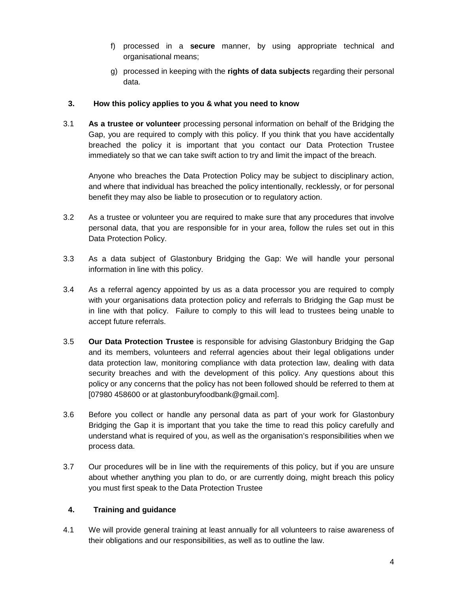- f) processed in a **secure** manner, by using appropriate technical and organisational means;
- g) processed in keeping with the **rights of data subjects** regarding their personal data.

# **3. How this policy applies to you & what you need to know**

3.1 **As a trustee or volunteer** processing personal information on behalf of the Bridging the Gap, you are required to comply with this policy. If you think that you have accidentally breached the policy it is important that you contact our Data Protection Trustee immediately so that we can take swift action to try and limit the impact of the breach.

Anyone who breaches the Data Protection Policy may be subject to disciplinary action, and where that individual has breached the policy intentionally, recklessly, or for personal benefit they may also be liable to prosecution or to regulatory action.

- 3.2 As a trustee or volunteer you are required to make sure that any procedures that involve personal data, that you are responsible for in your area, follow the rules set out in this Data Protection Policy.
- 3.3 As a data subject of Glastonbury Bridging the Gap: We will handle your personal information in line with this policy.
- 3.4 As a referral agency appointed by us as a data processor you are required to comply with your organisations data protection policy and referrals to Bridging the Gap must be in line with that policy. Failure to comply to this will lead to trustees being unable to accept future referrals.
- 3.5 **Our Data Protection Trustee** is responsible for advising Glastonbury Bridging the Gap and its members, volunteers and referral agencies about their legal obligations under data protection law, monitoring compliance with data protection law, dealing with data security breaches and with the development of this policy. Any questions about this policy or any concerns that the policy has not been followed should be referred to them at [07980 458600 or at glastonburyfoodbank@gmail.com].
- 3.6 Before you collect or handle any personal data as part of your work for Glastonbury Bridging the Gap it is important that you take the time to read this policy carefully and understand what is required of you, as well as the organisation's responsibilities when we process data.
- 3.7 Our procedures will be in line with the requirements of this policy, but if you are unsure about whether anything you plan to do, or are currently doing, might breach this policy you must first speak to the Data Protection Trustee

# **4. Training and guidance**

4.1 We will provide general training at least annually for all volunteers to raise awareness of their obligations and our responsibilities, as well as to outline the law.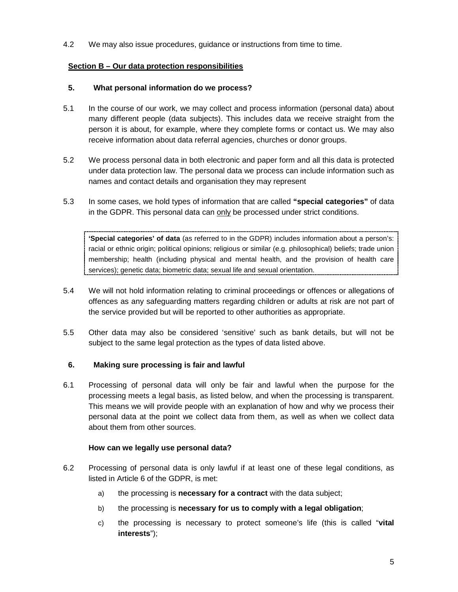4.2 We may also issue procedures, guidance or instructions from time to time.

# **Section B – Our data protection responsibilities**

## **5. What personal information do we process?**

- 5.1 In the course of our work, we may collect and process information (personal data) about many different people (data subjects). This includes data we receive straight from the person it is about, for example, where they complete forms or contact us. We may also receive information about data referral agencies, churches or donor groups.
- 5.2 We process personal data in both electronic and paper form and all this data is protected under data protection law. The personal data we process can include information such as names and contact details and organisation they may represent
- 5.3 In some cases, we hold types of information that are called **"special categories"** of data in the GDPR. This personal data can only be processed under strict conditions.

**'Special categories' of data** (as referred to in the GDPR) includes information about a person's: racial or ethnic origin; political opinions; religious or similar (e.g. philosophical) beliefs; trade union membership; health (including physical and mental health, and the provision of health care services); genetic data; biometric data; sexual life and sexual orientation.

- 5.4 We will not hold information relating to criminal proceedings or offences or allegations of offences as any safeguarding matters regarding children or adults at risk are not part of the service provided but will be reported to other authorities as appropriate.
- 5.5 Other data may also be considered 'sensitive' such as bank details, but will not be subject to the same legal protection as the types of data listed above.

### **6. Making sure processing is fair and lawful**

6.1 Processing of personal data will only be fair and lawful when the purpose for the processing meets a legal basis, as listed below, and when the processing is transparent. This means we will provide people with an explanation of how and why we process their personal data at the point we collect data from them, as well as when we collect data about them from other sources.

### **How can we legally use personal data?**

- 6.2 Processing of personal data is only lawful if at least one of these legal conditions, as listed in Article 6 of the GDPR, is met:
	- a) the processing is **necessary for a contract** with the data subject;
	- b) the processing is **necessary for us to comply with a legal obligation**;
	- c) the processing is necessary to protect someone's life (this is called "**vital interests**");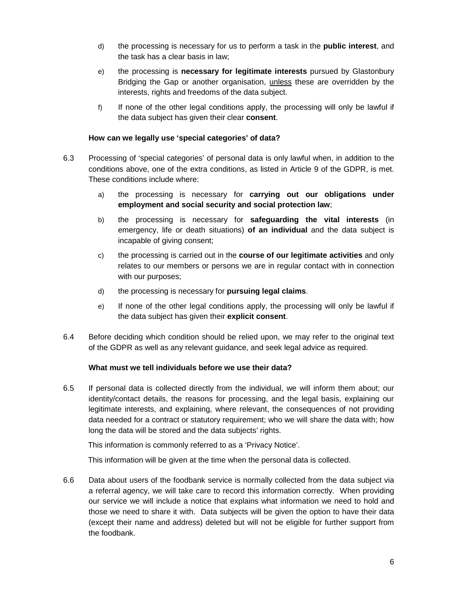- d) the processing is necessary for us to perform a task in the **public interest**, and the task has a clear basis in law;
- e) the processing is **necessary for legitimate interests** pursued by Glastonbury Bridging the Gap or another organisation, unless these are overridden by the interests, rights and freedoms of the data subject.
- f) If none of the other legal conditions apply, the processing will only be lawful if the data subject has given their clear **consent**.

### **How can we legally use 'special categories' of data?**

- 6.3 Processing of 'special categories' of personal data is only lawful when, in addition to the conditions above, one of the extra conditions, as listed in Article 9 of the GDPR, is met. These conditions include where:
	- a) the processing is necessary for **carrying out our obligations under employment and social security and social protection law**;
	- b) the processing is necessary for **safeguarding the vital interests** (in emergency, life or death situations) **of an individual** and the data subject is incapable of giving consent;
	- c) the processing is carried out in the **course of our legitimate activities** and only relates to our members or persons we are in regular contact with in connection with our purposes;
	- d) the processing is necessary for **pursuing legal claims**.
	- e) If none of the other legal conditions apply, the processing will only be lawful if the data subject has given their **explicit consent**.
- 6.4 Before deciding which condition should be relied upon, we may refer to the original text of the GDPR as well as any relevant guidance, and seek legal advice as required.

# **What must we tell individuals before we use their data?**

6.5 If personal data is collected directly from the individual, we will inform them about; our identity/contact details, the reasons for processing, and the legal basis, explaining our legitimate interests, and explaining, where relevant, the consequences of not providing data needed for a contract or statutory requirement; who we will share the data with; how long the data will be stored and the data subjects' rights.

This information is commonly referred to as a 'Privacy Notice'.

This information will be given at the time when the personal data is collected.

6.6 Data about users of the foodbank service is normally collected from the data subject via a referral agency, we will take care to record this information correctly. When providing our service we will include a notice that explains what information we need to hold and those we need to share it with. Data subjects will be given the option to have their data (except their name and address) deleted but will not be eligible for further support from the foodbank.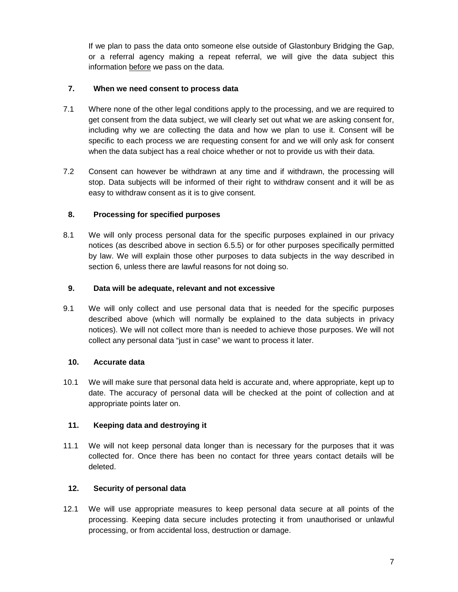If we plan to pass the data onto someone else outside of Glastonbury Bridging the Gap, or a referral agency making a repeat referral, we will give the data subject this information before we pass on the data.

# **7. When we need consent to process data**

- 7.1 Where none of the other legal conditions apply to the processing, and we are required to get consent from the data subject, we will clearly set out what we are asking consent for, including why we are collecting the data and how we plan to use it. Consent will be specific to each process we are requesting consent for and we will only ask for consent when the data subject has a real choice whether or not to provide us with their data.
- 7.2 Consent can however be withdrawn at any time and if withdrawn, the processing will stop. Data subjects will be informed of their right to withdraw consent and it will be as easy to withdraw consent as it is to give consent.

# **8. Processing for specified purposes**

8.1 We will only process personal data for the specific purposes explained in our privacy notices (as described above in section 6.5.5) or for other purposes specifically permitted by law. We will explain those other purposes to data subjects in the way described in section 6, unless there are lawful reasons for not doing so.

# **9. Data will be adequate, relevant and not excessive**

9.1 We will only collect and use personal data that is needed for the specific purposes described above (which will normally be explained to the data subjects in privacy notices). We will not collect more than is needed to achieve those purposes. We will not collect any personal data "just in case" we want to process it later.

### **10. Accurate data**

10.1 We will make sure that personal data held is accurate and, where appropriate, kept up to date. The accuracy of personal data will be checked at the point of collection and at appropriate points later on.

# **11. Keeping data and destroying it**

11.1 We will not keep personal data longer than is necessary for the purposes that it was collected for. Once there has been no contact for three years contact details will be deleted.

# **12. Security of personal data**

12.1 We will use appropriate measures to keep personal data secure at all points of the processing. Keeping data secure includes protecting it from unauthorised or unlawful processing, or from accidental loss, destruction or damage.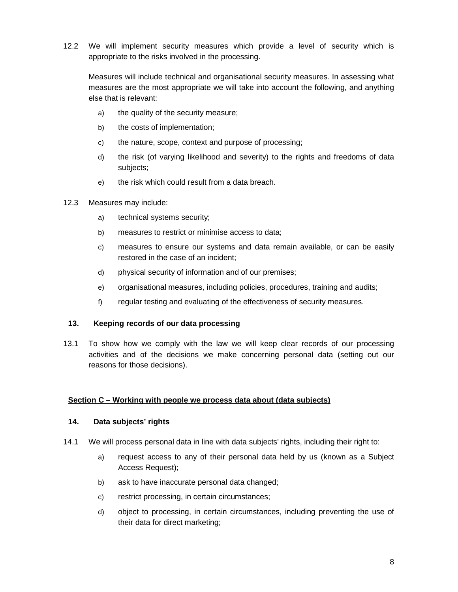12.2 We will implement security measures which provide a level of security which is appropriate to the risks involved in the processing.

Measures will include technical and organisational security measures. In assessing what measures are the most appropriate we will take into account the following, and anything else that is relevant:

- a) the quality of the security measure;
- b) the costs of implementation;
- c) the nature, scope, context and purpose of processing;
- d) the risk (of varying likelihood and severity) to the rights and freedoms of data subjects;
- e) the risk which could result from a data breach.
- 12.3 Measures may include:
	- a) technical systems security;
	- b) measures to restrict or minimise access to data;
	- c) measures to ensure our systems and data remain available, or can be easily restored in the case of an incident;
	- d) physical security of information and of our premises;
	- e) organisational measures, including policies, procedures, training and audits;
	- f) regular testing and evaluating of the effectiveness of security measures.

#### **13. Keeping records of our data processing**

13.1 To show how we comply with the law we will keep clear records of our processing activities and of the decisions we make concerning personal data (setting out our reasons for those decisions).

#### **Section C – Working with people we process data about (data subjects)**

#### **14. Data subjects' rights**

- 14.1 We will process personal data in line with data subjects' rights, including their right to:
	- a) request access to any of their personal data held by us (known as a Subject Access Request);
	- b) ask to have inaccurate personal data changed;
	- c) restrict processing, in certain circumstances;
	- d) object to processing, in certain circumstances, including preventing the use of their data for direct marketing;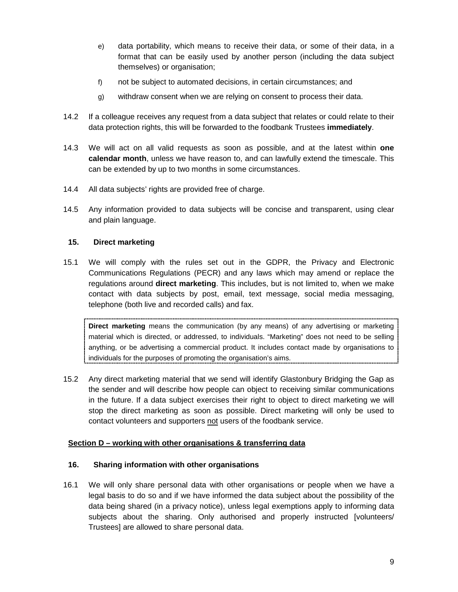- e) data portability, which means to receive their data, or some of their data, in a format that can be easily used by another person (including the data subject themselves) or organisation;
- f) not be subject to automated decisions, in certain circumstances; and
- g) withdraw consent when we are relying on consent to process their data.
- 14.2 If a colleague receives any request from a data subject that relates or could relate to their data protection rights, this will be forwarded to the foodbank Trustees **immediately**.
- 14.3 We will act on all valid requests as soon as possible, and at the latest within **one calendar month**, unless we have reason to, and can lawfully extend the timescale. This can be extended by up to two months in some circumstances.
- 14.4 All data subjects' rights are provided free of charge.
- 14.5 Any information provided to data subjects will be concise and transparent, using clear and plain language.

# **15. Direct marketing**

15.1 We will comply with the rules set out in the GDPR, the Privacy and Electronic Communications Regulations (PECR) and any laws which may amend or replace the regulations around **direct marketing**. This includes, but is not limited to, when we make contact with data subjects by post, email, text message, social media messaging, telephone (both live and recorded calls) and fax.

**Direct marketing** means the communication (by any means) of any advertising or marketing material which is directed, or addressed, to individuals. "Marketing" does not need to be selling anything, or be advertising a commercial product. It includes contact made by organisations to individuals for the purposes of promoting the organisation's aims.

15.2 Any direct marketing material that we send will identify Glastonbury Bridging the Gap as the sender and will describe how people can object to receiving similar communications in the future. If a data subject exercises their right to object to direct marketing we will stop the direct marketing as soon as possible. Direct marketing will only be used to contact volunteers and supporters not users of the foodbank service.

### **Section D – working with other organisations & transferring data**

### **16. Sharing information with other organisations**

16.1 We will only share personal data with other organisations or people when we have a legal basis to do so and if we have informed the data subject about the possibility of the data being shared (in a privacy notice), unless legal exemptions apply to informing data subjects about the sharing. Only authorised and properly instructed [volunteers/ Trustees] are allowed to share personal data.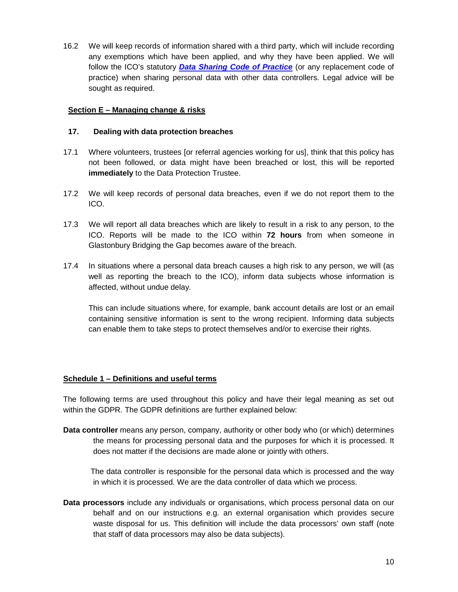16.2 We will keep records of information shared with a third party, which will include recording any exemptions which have been applied, and why they have been applied. We will follow the ICO's statutory **Data Sharing Code of Practice** (or any replacement code of practice) when sharing personal data with other data controllers. Legal advice will be sought as required.

# **Section E – Managing change & risks**

### **17. Dealing with data protection breaches**

- 17.1 Where volunteers, trustees [or referral agencies working for us], think that this policy has not been followed, or data might have been breached or lost, this will be reported **immediately** to the Data Protection Trustee.
- 17.2 We will keep records of personal data breaches, even if we do not report them to the ICO.
- 17.3 We will report all data breaches which are likely to result in a risk to any person, to the ICO. Reports will be made to the ICO within **72 hours** from when someone in Glastonbury Bridging the Gap becomes aware of the breach.
- 17.4 In situations where a personal data breach causes a high risk to any person, we will (as well as reporting the breach to the ICO), inform data subjects whose information is affected, without undue delay.

This can include situations where, for example, bank account details are lost or an email containing sensitive information is sent to the wrong recipient. Informing data subjects can enable them to take steps to protect themselves and/or to exercise their rights.

### **Schedule 1 – Definitions and useful terms**

The following terms are used throughout this policy and have their legal meaning as set out within the GDPR. The GDPR definitions are further explained below:

**Data controller** means any person, company, authority or other body who (or which) determines the means for processing personal data and the purposes for which it is processed. It does not matter if the decisions are made alone or jointly with others.

 The data controller is responsible for the personal data which is processed and the way in which it is processed. We are the data controller of data which we process.

**Data processors** include any individuals or organisations, which process personal data on our behalf and on our instructions e.g. an external organisation which provides secure waste disposal for us. This definition will include the data processors' own staff (note that staff of data processors may also be data subjects).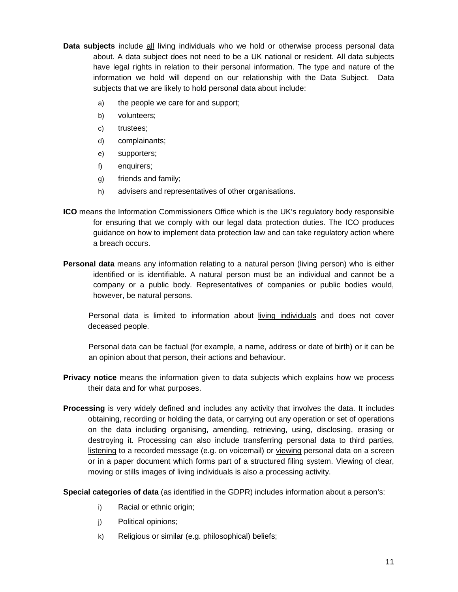- **Data subjects** include all living individuals who we hold or otherwise process personal data about. A data subject does not need to be a UK national or resident. All data subjects have legal rights in relation to their personal information. The type and nature of the information we hold will depend on our relationship with the Data Subject. Data subjects that we are likely to hold personal data about include:
	- a) the people we care for and support;
	- b) volunteers;
	- c) trustees;
	- d) complainants;
	- e) supporters;
	- f) enquirers;
	- g) friends and family;
	- h) advisers and representatives of other organisations.
- **ICO** means the Information Commissioners Office which is the UK's regulatory body responsible for ensuring that we comply with our legal data protection duties. The ICO produces guidance on how to implement data protection law and can take regulatory action where a breach occurs.
- **Personal data** means any information relating to a natural person (living person) who is either identified or is identifiable. A natural person must be an individual and cannot be a company or a public body. Representatives of companies or public bodies would, however, be natural persons.

Personal data is limited to information about living individuals and does not cover deceased people.

Personal data can be factual (for example, a name, address or date of birth) or it can be an opinion about that person, their actions and behaviour.

- **Privacy notice** means the information given to data subjects which explains how we process their data and for what purposes.
- **Processing** is very widely defined and includes any activity that involves the data. It includes obtaining, recording or holding the data, or carrying out any operation or set of operations on the data including organising, amending, retrieving, using, disclosing, erasing or destroying it. Processing can also include transferring personal data to third parties, listening to a recorded message (e.g. on voicemail) or viewing personal data on a screen or in a paper document which forms part of a structured filing system. Viewing of clear, moving or stills images of living individuals is also a processing activity.

**Special categories of data** (as identified in the GDPR) includes information about a person's:

- i) Racial or ethnic origin;
- j) Political opinions;
- k) Religious or similar (e.g. philosophical) beliefs;